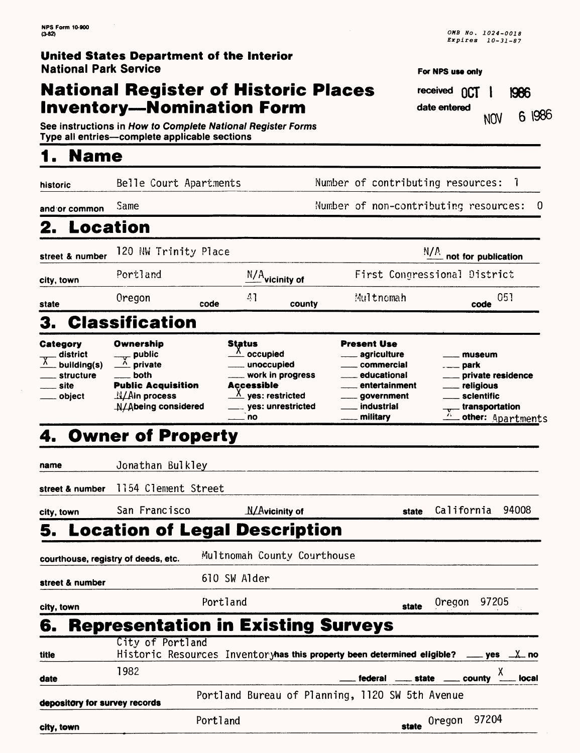# **National Register of Historic Places Inventory—Nomination Form**

| Expires 10-31-87 |
|------------------|
|                  |

*OMB No. 1024-0018* 

**For NFS use only received OCT | 1986**<br> **date entered**  $\frac{1001}{6}$  |986

**See instructions in How to Complete National Register Forms Type all entries—complete applicable sections\_\_\_\_\_\_\_\_\_\_\_\_\_\_\_**

# **1. Name**

| historic                                                                             | Belle Court Apartments                                                                                                                                   |                                                                                                                                                                                   | Number of contributing resources:                                                                                       | $\overline{\phantom{a}}$                                                                                   |  |  |
|--------------------------------------------------------------------------------------|----------------------------------------------------------------------------------------------------------------------------------------------------------|-----------------------------------------------------------------------------------------------------------------------------------------------------------------------------------|-------------------------------------------------------------------------------------------------------------------------|------------------------------------------------------------------------------------------------------------|--|--|
| and or common                                                                        | Same                                                                                                                                                     |                                                                                                                                                                                   | Number of non-contributing resources:                                                                                   | 0                                                                                                          |  |  |
| <b>Location</b><br>2.                                                                |                                                                                                                                                          |                                                                                                                                                                                   |                                                                                                                         |                                                                                                            |  |  |
| street & number                                                                      | 120 NW Trinity Place                                                                                                                                     |                                                                                                                                                                                   |                                                                                                                         | N/A<br>not for publication                                                                                 |  |  |
| city, town                                                                           | Portland                                                                                                                                                 | $\frac{N/A}{N}$ vicinity of                                                                                                                                                       |                                                                                                                         | First Congressional District                                                                               |  |  |
| state                                                                                | Oregon                                                                                                                                                   | 41<br>code<br>county                                                                                                                                                              | Multnomah                                                                                                               | 051<br>code                                                                                                |  |  |
| 3.                                                                                   | <b>Classification</b>                                                                                                                                    |                                                                                                                                                                                   |                                                                                                                         |                                                                                                            |  |  |
| Category<br>district<br>$\overline{x}$<br>building(s)<br>structure<br>site<br>object | Ownership<br>$\overline{\phantom{a}}$ public<br>A private<br>both<br><b>Public Acquisition</b><br>$\frac{N}{A}$ in process<br><b>N/Abeing considered</b> | <b>Status</b><br>$\frac{\lambda}{\mu}$ occupied<br>unoccupied<br>_ work in progress<br><b>Accessible</b><br>$\frac{\lambda}{\mu}$ yes: restricted<br>__ yes: unrestricted<br>. no | <b>Present Use</b><br>agriculture<br>commercial<br>educational<br>entertainment<br>government<br>industrial<br>military | museum<br>private residence<br><sub>—</sub> religious<br>sclentific<br>transportation<br>other: Apartments |  |  |
|                                                                                      | 4. Owner of Property                                                                                                                                     |                                                                                                                                                                                   |                                                                                                                         |                                                                                                            |  |  |
| name                                                                                 | Jonathan Bulkley                                                                                                                                         |                                                                                                                                                                                   |                                                                                                                         |                                                                                                            |  |  |
| street & number                                                                      | 1154 Clement Street                                                                                                                                      |                                                                                                                                                                                   |                                                                                                                         |                                                                                                            |  |  |
| city, town                                                                           | San Francisco                                                                                                                                            | $\Lambda$ / $\Lambda$ vicinity of                                                                                                                                                 | state                                                                                                                   | California<br>94008                                                                                        |  |  |
| 5.                                                                                   |                                                                                                                                                          | <b>Location of Legal Description</b>                                                                                                                                              |                                                                                                                         |                                                                                                            |  |  |
| courthouse, registry of deeds, etc.                                                  |                                                                                                                                                          | Multnomah County Courthouse                                                                                                                                                       |                                                                                                                         |                                                                                                            |  |  |
| street & number                                                                      |                                                                                                                                                          | 610 SW Alder                                                                                                                                                                      |                                                                                                                         |                                                                                                            |  |  |
| city, town                                                                           |                                                                                                                                                          | Portland                                                                                                                                                                          | state                                                                                                                   | 97205<br>Oregon                                                                                            |  |  |
| 6.                                                                                   |                                                                                                                                                          | <b>Representation in Existing Surveys</b>                                                                                                                                         |                                                                                                                         |                                                                                                            |  |  |
| title                                                                                | City of Portland                                                                                                                                         |                                                                                                                                                                                   | Historic Resources Inventoryhas this property been determined eligible?                                                 | __ yes ____X__ no                                                                                          |  |  |
| date                                                                                 | 1982                                                                                                                                                     |                                                                                                                                                                                   | federal<br>state                                                                                                        | X<br>county<br>local                                                                                       |  |  |
| depository for survey records                                                        |                                                                                                                                                          |                                                                                                                                                                                   | Portland Bureau of Planning, 1120 SW 5th Avenue                                                                         |                                                                                                            |  |  |
| city, town                                                                           |                                                                                                                                                          | Portland                                                                                                                                                                          | state                                                                                                                   | 97204<br>Oregon                                                                                            |  |  |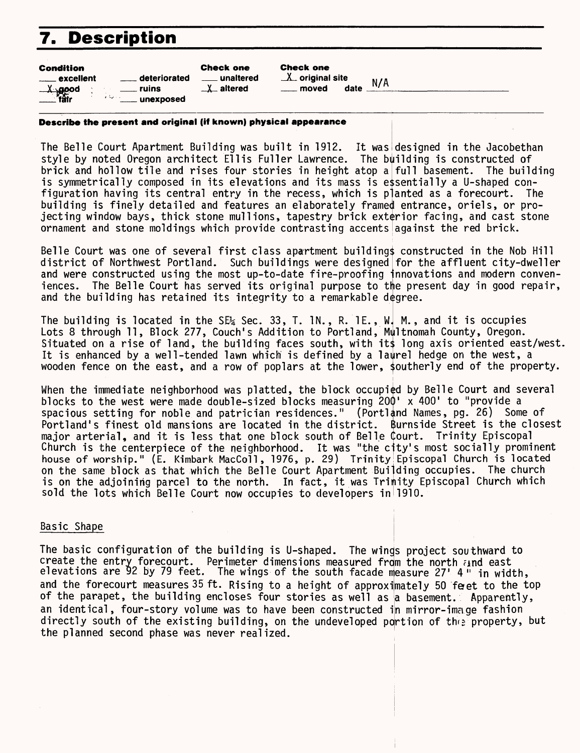# **7. Description**

| <b>Condition</b>       |                                                | <b>Check one</b>       |
|------------------------|------------------------------------------------|------------------------|
| <u>__</u> __ excellent | deteriorated                                   | <u>__</u> __ unaltered |
| $\lambda$ good         | ruins<br>د ايا د<br><b>Electric Linexposed</b> | $\perp$ altered        |

Check one  $X$  original site  $N/A$ 

moved date

#### **Describe the present and original (if known) physical appearance**

The Belle Court Apartment Building was built in 1912. It was designed in the Jacobethan style by noted Oregon architect Ell is Fuller Lawrence. The building is constructed of brick and hollow tile and rises four stories in height atop  $\mathsf{a}\vert$ full basement. The building is symmetrically composed in its elevations and its mass is e\$sentially a U-shaped configuration having its central entry in the recess, which is planted as a forecourt. The building is finely detailed and features an elaborately framed entrance, oriels, or projecting window bays, thick stone mull ions, tapestry brick exterior facing, and cast stone ornament and stone moldings which provide contrasting accents against the red brick.

Belle Court was one of several first class apartment building\$ constructed in the Nob Hill district of Northwest Portland. Such buildings were designed for the affluent city-dweller and were constructed using the most up-to-date fire-proofing innovations and modern conveniences. The Belle Court has served its original purpose to the present day in good repair, and the building has retained its integrity to a remarkable degree.

The building is located in the SE Sec. 33, I. IN., R. IE.,  $W_t$ Lots 8 through 11, Block 277, Couch's Addition to Portland, Situated on a rise of land, the building faces south, with it\$ long axis oriented east/west. It is enhanced by a well-tended lawn which is defined by a laurel hedge on the west, a wooden fence on the east, and a row of poplars at the lower, southerly end of the property. M., and it is occupies Multnomah County, Oregon.

When the immediate neighborhood was platted, the block occupied by Belle Court and several blocks to the west were made double-sized blocks measuring 200' x 400' to "provide a spacious setting for noble and patrician residences." (Portland Names, pg. 26) Some of Portland's finest old mansions are located in the district. Burnside Street is the closest major arterial, and it is less that one block south of Belle Court. Trinity Episcopal Church is the centerpiece of the neighborhood. It was "the city's most socially prominent house of worship." (E. Kimbark MacColl, 1976, p. 29) Trinity Episcopal Church is located on the same block as that which the Belle Court Apartment Building occupies. The church is on the adjoining parcel to the north. In fact, it was Trimity Episcopal Church which sold the lots which Belle Court now occupies to developers in'l910.

### Basic Shape

The basic configuration of the building is U-shaped. The wings project southward to  $\mathop{\mathtt{create}}$  the entry forecourt. Perimeter dimensions measured from the north  $\mathop{i}$ nd east elevations are 92 by 79 feet. The wings of the south facade measure 27' 4" in width, and the forecourt measures 35 ft. Rising to a height of approximately 50 feet to the top of the parapet, the building encloses four stories as well as a basement. Apparently, an identical, four-story volume was to have been constructed in mirror-image fashion directly south of the existing building, on the undeveloped portion of the property, but the planned second phase was never realized.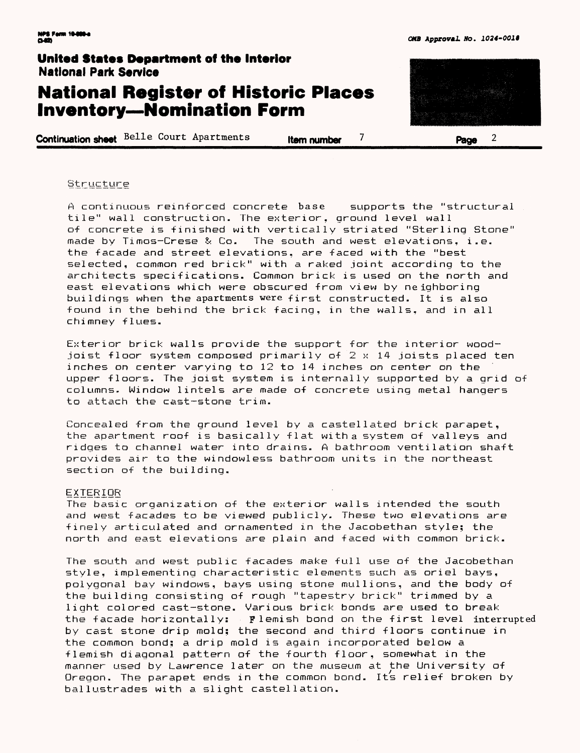# **National Register of Historic Places Inventory — Nomination Form**

**Continuation sheet** Belle Court Apartments **Item number 7** Page



**Structure** 

A continuous reinforced concrete base supports the "structural tile" wall construction. The exterior, ground level wall of concrete is finished with vertically striated "Sterling Stone" made by Timos— Crese & Co. The south and west elevations, i.e. the facade and street elevations, are faced with the "best selected, common red brick" with a raked joint according to the architects specifications. Common brick is used on the north and east elevations which were obscured from view by neighboring buildings when the apartments were first constructed. It is also found in the behind the brick facing, in the walls, and in all chimney flues.

Exterior brick walls provide the support for the interior woadjoist floor system composed primarily of  $2 \times 14$  joists placed ten inches on center varying to 12 to 14 inches on center on the upper floors. The joist system is internally supported by a grid of columns. Window lintels are made of concrete using metal hangers to attach the cast-stone trim.

Concealed from the ground level by a castellated brick parapet, the apartment roof is basically flat with a system of valleys and ridges to channel water into drains. A bathroom ventilation shaft provides air to the windowless bathroom units in the northeast section of the building.

#### **EXTERIOR**

The basic organization of the exterior walls intended the south and west facades to be viewed publicly. These two elevations are finely articulated and ornamented in the Jacobethan style; the north and east elevations are plain and faced with common brick.

The south and west public facades make full use of the Jacobethan style, implementing characteristic elements such as oriel bays, polygonal bay windows, bays using stone mull ions, and the body of the building consisting of rough "tapestry brick" trimmed by a. light colored cast-stone. Various brick bonds are used to break the facade horizontally: Flemish bond on the first level interrupted by cast stone drip mold; the second and third floors continue in the common bond; a drip mold is again incorporated below a flemish diagonal pattern of the fourth floor, somewhat in the manner used by Lawrence later on the museum at the University of Oregon. The parapet ends in the common bond. It's relief broken by ballustrades with a slight castellation.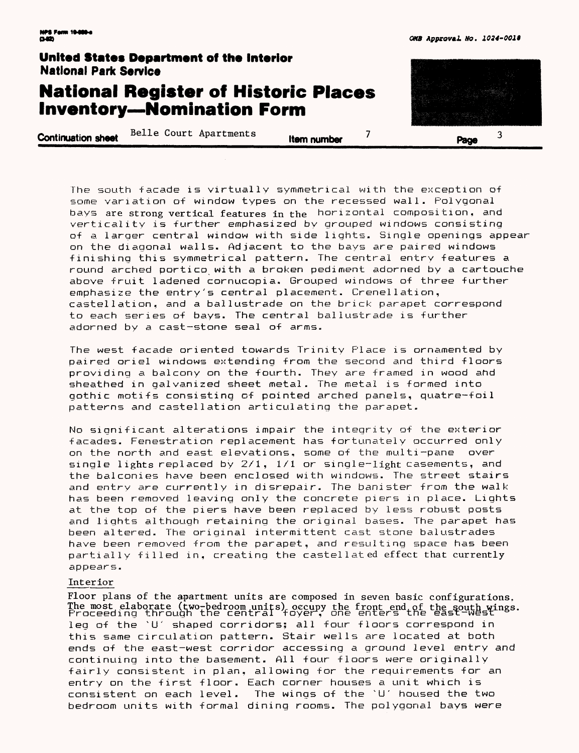# **National Register of Historic Places Inventory—Nomination Form**

**Continuation sheet** Belle Court Apartments **,..** *item number* 7 **Page** 



The south facade is virtually symmetrical with the exception of some variation of window types on the recessed wall. Polygonal bays are strong vertical features in the horizontal composition, and verticality is further emphasized by grouped windows consisting of a larger central window with side lights. Single openings appear on the diagonal walls. Adjacent to the bays are paired windows finishing this symmetrical pattern. The central entry features a round arched portico with a broken pediment adorned by a cartouche above fruit ladened cornucopia. Grouped windows of three further emphasize the entry's central placement. Crenel 1ation, castellation, and a ballustrade on the brick parapet correspond to each series of bays. The central ballustrade is further adorned by a cast-stone seal of arms.

The west facade oriented towards Trinity Place is ornamented by paired oriel windows extending from the second and third floors providing a balcony on the fourth. They are framed in wood and sheathed in galvanized sheet metal. The metal is formed into gothic motifs consisting of pointed arched panels, quatre-foil patterns and castel1ation articulating the parapet.

No significant alterations impair the integrity of the exterior facades. Fenestratian replacement has fortunately occurred only on the north and east elevations, some of the multi-pane over single lights replaced by  $2/1$ ,  $1/1$  or single-light casements, and the balconies have been enclosed with windows. The street stairs and entry are currently in disrepair. The banister from the walk has been removed leaving only the concrete piers in place. Lights at the top of the piers have been replaced by less robust posts and lights although retaining the original bases. The parapet has been altered. The original intermittent cast stone balustrades have been removed from the parapet, and resulting space has been partially filled in, creating the castellated effect that currently appears.

#### Interior

Floor plans of the apartment units are composed in seven basic configurations. The most elaborate (two-bedroom units) occupy the front end of the south wings. Proceeding through the central foyer, one enters the east-west <sup>Wings.</sup> leg of the `U' shaped corridors; all four floors correspond in this same circulation pattern. Stair wells are located at both ends of the east-west corridor accessing a ground level entry and continuing into the basement. All four floors were originally fairly consistent in plan, allowing for the requirements for an entry on the first floor. Each corner houses a unit which is consistent on each level. The wings of the "U' housed the two bedroom units with formal dining rooms. The polygonal bays were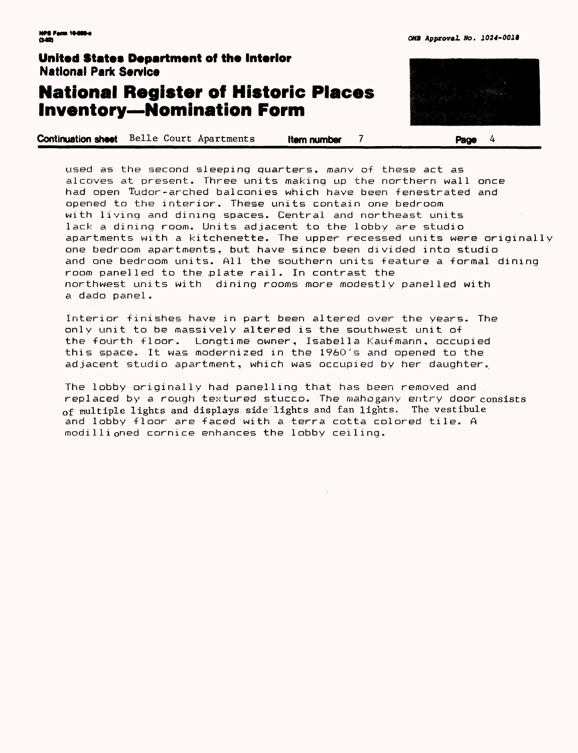# **National Register of Historic Places Inventory—Nomination Form**

**Continuation sheet** Belle Court Apartments **Item number 7 Page 4** 



used as the second sleeping quarters, many of these act as alcoves at present. Three units making up the northern wall once had open Tudor-arched balconies which have been fenestrated and opened to the interior. These units contain one bedroom with living and dining spaces. Central and northeast units lack a dining room. Units adjacent to the lobby are studio apartments with a kitchenette. The upper recessed units were originally one bedroom apartments, but have since been divided into studio and one bedroom units. All the southern units feature a formal dining room panelled to the plate rail. In contrast the northwest units with dining rooms more modestly panelled with a dado panel.

Interior finishes have in part been altered over the years. The only unit to be massively altered is the southwest unit of the fourth floor. Longtime owner, Isabella Kaufmann, occupied this space. It was modernized in the 1960's and opened to the adjacent studio apartment, which was occupied by her daughter.

The lobby originally had panelling that has been removed and replaced by a rough textured stucco. The mahogany entry door consists of multiple lights and displays side lights and fan lights. The vestibule and lobby floor are faced with a terra cotta colored tile. A modillioned cornice enhances the lobby ceiling.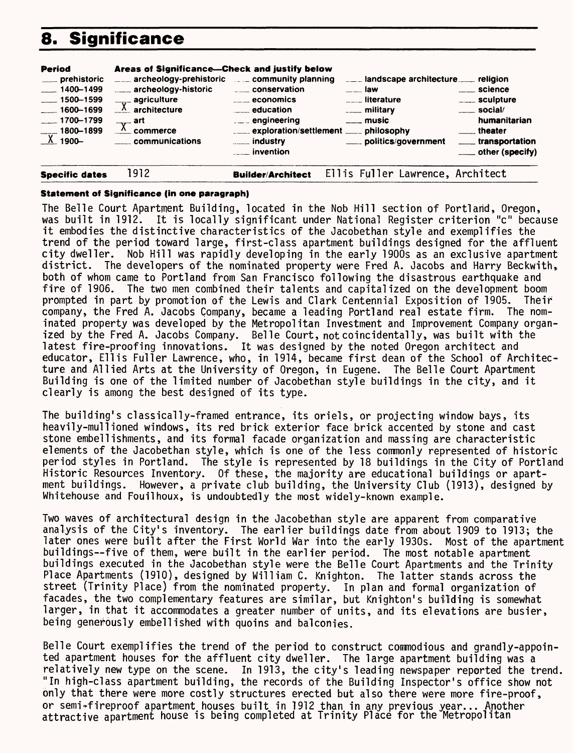# **8. Significance**



#### **Statement of Significance (in one paragraph)**

The Belle Court Apartment Building, located in the Nob Hill section of Portland, Oregon, was built in 1912. It is locally significant under National Register criterion "c" because it embodies the distinctive characteristics of the Jacobethan style and exemplifies the trend of the period toward large, first-class apartment buildings designed for the affluent city dweller. Nob Hill was rapidly developing in the early 1900s as an exclusive apartment district. The developers of the nominated property were Fred A. Jacobs and Harry Beckwith, both of whom came to Portland from San Francisco following the disastrous earthquake and fire of 1906. The two men combined their talents and capitalized on the development boom prompted in part by promotion of the Lewis and Clark Centennial Exposition of 1905. Their company, the Fred A. Jacobs Company, became a leading Portland real estate firm. The nominated property was developed by the Metropolitan Investment and Improvement Company organized by the Fred A. Jacobs Company. Belle Court, notcoincidentally, was built with the latest fire-proofing innovations. It was designed by the noted Oregon architect and educator, Ell is Fuller Lawrence, who, in 1914, became first dean of the School of Architecture and Allied Arts at the University of Oregon, in Eugene. The Belle Court Apartment Building is one of the limited number of Jacobethan style buildings in the city, and it clearly is among the best designed of its type.

The building's classically-framed entrance, its oriels, or projecting window bays, its heavily-mullioned windows, its red brick exterior face brick accented by stone and cast stone embellishments, and its formal facade organization and massing are characteristic elements of the Jacobethan style, which is one of the less commonly represented of historic period styles in Portland. The style is represented by 18 buildings in the City of Portland Historic Resources Inventory. Of these, the majority are educational buildings or apartment buildings. However, a private club building, the University Club (1913), designed by Whitehouse and Fouilhoux, is undoubtedly the most widely-known example.

Two waves of architectural design in the Jacobethan style are apparent from comparative analysis of the City's inventory. The earlier buildings date from about 1909 to 1913; the later ones were built after the First World War into the early 1930s. Most of the apartment buildings—five of them, were built in the earlier period. The most notable apartment buildings executed in the Jacobethan style were the Belle Court Apartments and the Trinity Place Apartments (1910), designed by William C. Knighton. The latter stands across the street (Trinity Place) from the nominated property. In plan and formal organization of facades, the two complementary features are similar, but Knighton's builiding is somewhat larger, in that it accommodates a greater number of units, and its elevations are busier, being generously embellished with quoins and balconies.

Belle Court exemplifies the trend of the period to construct commodious and grandly-appointed apartment houses for the affluent city dweller. The large apartment building was a relatively new type on the scene. In 1913, the city's leading newspaper reported the trend. "In high-class apartment building, the records of the Building Inspector's office show not only that there were more costly structures erected but also there were more fire-proof, or semi+fireproof apartment houses built in 1912 than in any previous year... Another attractive apartment house is being completed at Trinity Place for the Metropolitan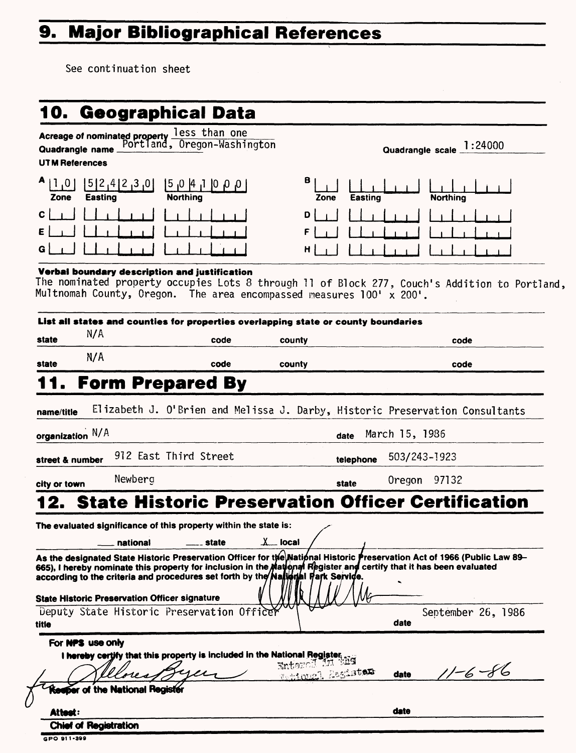# 9. Major Bibliographical References

See continuation sheet

|                       |                                                      | Acreage of nominated property less than one<br>Quadrangle name Portland, Oregon-Washington |                                      |                                                                                                                          |
|-----------------------|------------------------------------------------------|--------------------------------------------------------------------------------------------|--------------------------------------|--------------------------------------------------------------------------------------------------------------------------|
|                       | Quadrangle name                                      |                                                                                            |                                      | Quadrangle scale 1:24000                                                                                                 |
| <b>UTM References</b> |                                                      |                                                                                            |                                      |                                                                                                                          |
| 1,0 <br>Zone          | 5 2,4 2,3 0 <br>Easting                              | ן ס, ס, סן ד <sub>ו</sub> 4ן ס <sub>י</sub> 5ן<br><b>Northing</b>                          | в.<br>Zone                           | Easting<br><b>Northing</b>                                                                                               |
| c                     |                                                      |                                                                                            |                                      |                                                                                                                          |
| Ε                     |                                                      |                                                                                            |                                      |                                                                                                                          |
| G                     |                                                      |                                                                                            |                                      |                                                                                                                          |
|                       |                                                      | Verbal boundary description and justification                                              |                                      |                                                                                                                          |
|                       |                                                      |                                                                                            |                                      | The nominated property occupies Lots 8 through 11 of Block 277, Couch's Addition to Portland,                            |
|                       |                                                      | Multnomah County, Oregon. The area encompassed measures 100' x 200'.                       |                                      |                                                                                                                          |
|                       |                                                      | List all states and counties for properties overlapping state or county boundaries         |                                      |                                                                                                                          |
|                       | N/A                                                  |                                                                                            |                                      |                                                                                                                          |
| state                 |                                                      | code                                                                                       | county                               | code                                                                                                                     |
| state                 | N/A                                                  | code                                                                                       | county                               | code                                                                                                                     |
|                       |                                                      | <b>Form Prepared By</b>                                                                    |                                      |                                                                                                                          |
|                       |                                                      |                                                                                            |                                      |                                                                                                                          |
| name/title            |                                                      |                                                                                            |                                      | Elizabeth J. O'Brien and Melissa J. Darby, Historic Preservation Consultants                                             |
| organization N/A      |                                                      |                                                                                            |                                      | March 15, 1986                                                                                                           |
|                       |                                                      |                                                                                            | date                                 |                                                                                                                          |
| street & number       |                                                      | 912 East Third Street                                                                      |                                      | 503/243-1923<br>telephone                                                                                                |
| city or town          | Newberg                                              |                                                                                            | state                                | Oregon 97132                                                                                                             |
|                       |                                                      |                                                                                            |                                      |                                                                                                                          |
|                       |                                                      |                                                                                            |                                      | <b>State Historic Preservation Officer Certification</b>                                                                 |
|                       |                                                      | The evaluated significance of this property within the state is:                           |                                      |                                                                                                                          |
|                       |                                                      |                                                                                            |                                      |                                                                                                                          |
|                       | national                                             | state                                                                                      | $\underline{\lambda}$ local          |                                                                                                                          |
|                       |                                                      |                                                                                            |                                      | As the designated State Historic Preservation Officer for the Mational Historic Preservation Act of 1966 (Public Law 89- |
|                       |                                                      |                                                                                            |                                      | 665), I hereby nominate this property for inclusion in the Mational Register and certify that it has been evaluated      |
|                       |                                                      | according to the criteria and procedures set forth by the Nallerial Hark Service.          |                                      |                                                                                                                          |
|                       | <b>State Historic Preservation Officer signature</b> |                                                                                            |                                      |                                                                                                                          |
|                       |                                                      | Deputy State Historic Preservation Office                                                  |                                      | September 26, 1986                                                                                                       |
| title                 |                                                      |                                                                                            |                                      | date                                                                                                                     |
|                       | For NPS use only                                     |                                                                                            |                                      |                                                                                                                          |
|                       |                                                      | I hereby certify that this property is included in the National Register,                  |                                      |                                                                                                                          |
|                       |                                                      |                                                                                            | Enteroid Milen<br>Mahilonal Assister | $1/-6-86$<br>date                                                                                                        |
|                       | the National Register                                |                                                                                            |                                      |                                                                                                                          |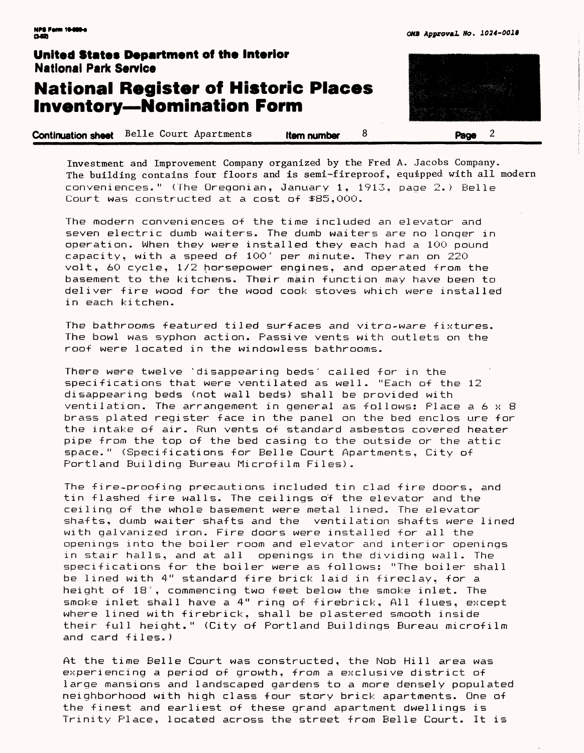## **National Register of Historic Places Inventory—Nomination Form**

**Continuation sheet** Belle Court Apartments **Item number** 8 **Page** 2

Investment and Improvement Company organized by the Fred A. Jacobs Company. The building contains four floors and is semi-fireproof, equipped with all modern conveniences." (The Oreqonian, January 1, 1913, page 2.) Belle Court was constructed at a cost of \$85,OOO.

The modern conveniences of the time included an elevator and seven electric dumb waiters. The dumb waiters are no longer in operation. When they were installed they each had a 1OO pound capacity, with a speed of 10O' per minute. They ran on 220 volt, 60 cycle, 1/2 horsepower engines, and operated from the basement to the kitchens. Their main function may have been to deliver fire wood for the wood cook stoves which were installed in each kitchen.

The bathrooms featured tiled surfaces and vitro-ware fixtures. The bowl was syphon action. Passive vents with outlets on the roof were located in the windowless bathrooms.

There were twelve "disappearing beds' called for in the specifications that were ventilated as well. "Each of the 12 disappearing beds (not wall beds) shall be provided with ventilation. The arrangement in general as follows: Place a 6 x 8 brass plated register face in the panel on the bed enclos ure for the intake of air. Run vents of standard asbestos covered heater pipe from the top of the bed casing to the outside or the attic space." (Specifications for Belle Court Apartments, City of Portland Building Bureau Microfilm Files).

The fire-proofing precautions included tin clad fire doors, and tin flashed fire walls. The ceilings o'f the elevator and the ceiling of the whole basement were metal lined. The elevator shafts, dumb waiter shafts and the ventilation shafts were lined with galvanized iron. Fire doors were installed for all the openings into the boiler room and elevator and interior openings in stair halls, and at all openings in the dividing wall. The specifications for the boiler were as follows? "The boiler shall be lined with 4" standard fire brick laid in fireclay, for a height of 18', commencing two feet below the smoke inlet. The smoke inlet shall have a 4" ring of firebrick, All flues, except where lined with firebrick, shall be plastered smooth inside their full height." (City of Portland Buildings Bureau microfilm and card fi1es.)

At the time Belle Court was constructed, the Nob Hill area was experiencing a period of growth, from a exclusive district of large mansions and landscaped gardens to a more densely populated neighborhood with high class four story brick apartments. One of the finest and earliest of these grand apartment dwellings is Trinity Place, located across the street from Belle Court. It is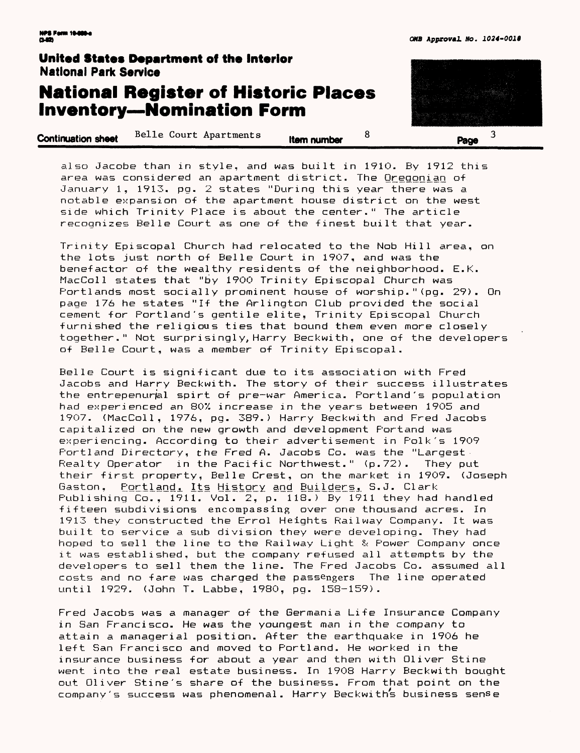# **National Register of Historic Places Inventory — Nomination Form**

| <b>Continuation sheet</b> | Belle Court Apartments | Item number | Dacia |
|---------------------------|------------------------|-------------|-------|
|                           |                        |             |       |

also Jacobe than in style, and was built in 1910. By 1912 this area was considered an apartment district. The Qreggnian of January 1, 1913. pg. 2 states "During this year there was a notable expansion of the apartment house district on the west side which Trinity Place is about the center." The article recognizes Belle Court as one of the finest built that year.

Trinity Episcopal Church had relocated to the Nob Hill area, on the lots just north of Belle Court in 1907, and was the benefactor of the wealthy residents of the neighborhood. E.K. MacColl states that "by 1900 Trinity Episcopal Church was Portlands most socially prominent house of worship." (pg. 29). On page 176 he states "If the Arlington Club provided the social cement for Portland's gentile elite, Trinity Episcopal Church furnished the religious ties that bound them even more closely together." Not surprisingly, Harry Beckwith, one of the developers of Belle Court, was a member of Trinity Episcopal.

Belle Court is significant due to its association with Fred Jacobs and Harry Beckwith. The story of their success illustrates the entrepenural spirt of pre-war America. Portland's population had experienced an 80% increase in the years between 1905 and 1907. (MacCol 1, 1976, pg. 389.) Harry Beckwith and Fred Jacobs capitalized on the new growth and development Portand was experiencing. According to their advertisement in Polk's 1909 Portland Directory, the Fred A. Jacobs Co. was the "Largest Realty Operator in the Pacific Northwest." (p. 72). They put their first property, Belle Crest, on the market in 1909. (Joseph Gaston, Portland, Its History and Builders, S.J. Clark Publishing Co., 1911. Vol. 2, p. 118.) By 1911 they had handled fifteen subdivisions encompassing over one thousand acres. In 1913 they constructed the Errol Heights Railway Company. It was built to service a sub division they were developing. They had hoped to sell the line to the Railway Light & Power Company once it was established, but the company refused all attempts by the developers to sell them the line. The Fred Jacobs Co. assumed all costs and no fare was charged the passengers The line operated until 1929. (John T. Labbe, 1980, pq. 158-159).

Fred Jacobs was a manager of the Germania Life Insurance Company in San Francisco. He was the youngest man in the company to attain a managerial position. After the earthquake in 1906 he left San Francisco and moved to Portland. He worked in the insurance business for about a year and then with Oliver Stine went into the real estate business. In 1908 Harry Beckwith bought out Oliver Stine's share of the business. From that point on the company's success was phenomenal. Harry Beckwiths business sense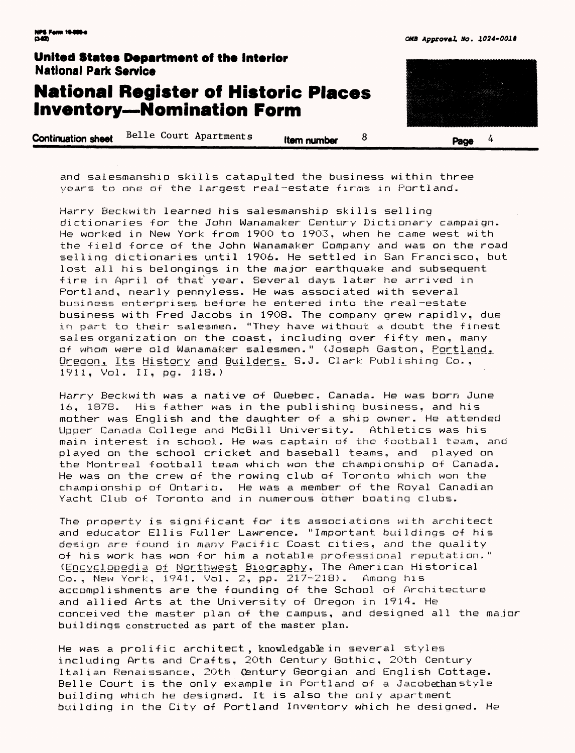# **National Register of Historic Places Inventory—Nomination Form**

**Continuation sheet** Belle Court Apartments **item number 8 Page** 4

and salesmanship skills catapulted the business within three years to one of the largest real-estate firms in Portland.

Harry Beckwith learned his salesmanship skills selling dictionaries for the John Wanamaker Century Dictionary campaign. He worked in New York from 1900 to 1903, when he came west with the field force of the John Wanamaker Company and was on the road selling dictionaries until 1906. He settled in San Francisco, but lost all his belongings in the major earthquake and subsequent fire in April of that year. Several days later he arrived in Portland, nearly pennyless. He was associated with several business enterprises before he entered into the real-estate business with Fred Jacobs in 1908. The company grew rapidly, due in part to their salesmen. "They have without a doubt the finest sales organization on the coast, including over fifty men, many of whom were old Wanamaker salesmen." (Joseph Gaston, Portland, Oregon, Its History and Builders. S.J. Clark Publishing Co., 1911, Vol. II, pg. 118.)

Harry Beckwith was a native of Quebec. Canada. He was born June 16, 1878. His father was in the publishing business, and his mother was English and the daughter of a ship owner. He attended Upper Canada College and McGill University. Athletics was his main interest in school. He was captain of the football team, and played on the school cricket and baseball teams, and played on the Montreal football team which won the championship of Canada. He was on the crew of the rowing club of Toronto which won the championship of Ontario. He was a member of the Royal Canadian Yacht Club of Toronto and in numerous other boating clubs.

The property is significant for its associations with architect and educator Ellis Fuller Lawrence. "Important buildings of his design are found in many Pacific Coast cities, and the quality of his work has won for him a notable professional reputation." (Encyclopedia of Northwest Biography, The American Historical Co., New York,~l94l. Vol. 2, pp. 217-218). Among his accomplishments are the founding of the School of Architecture and allied Arts at the University of Oregon in 1914. He conceived the master plan of the campus, and designed all the major buildings constructed as part of the master plan.

He was a prolific architect, knowledgable in several styles including Arts and Crafts, 20th Century Gothic, 20th Century Italian Renaissance, 20th Century Georgian and English Cottage. Belle Court is the only example in Portland of a Jacobethanstyle building which he designed. It is also the only apartment building in the City of Portland Inventory which he designed. He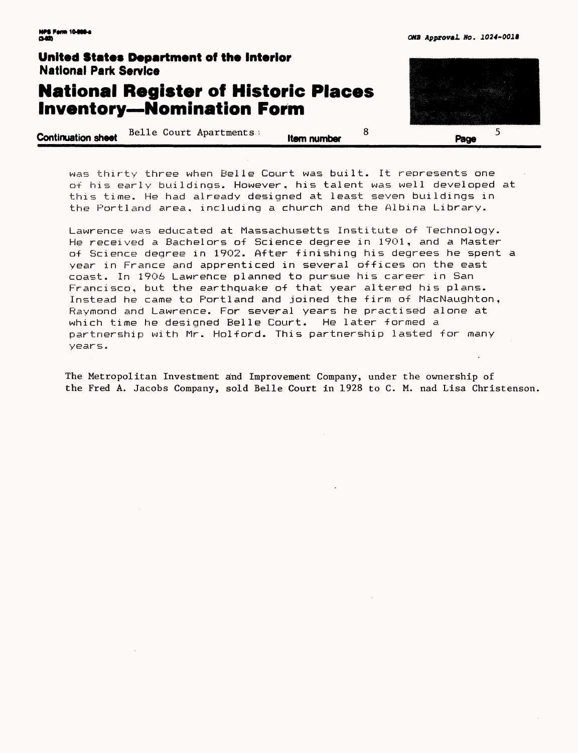# **National Register of Historic Places Inventory—Nomination Form**

**Continuation sheet** Belle Court Apartments is **them number** 8



was thirty three when Belle Court was built. It represents one of his early buildings. However, his talent was well developed at this time. He had already designed at least seven buildings in the Portland area, including a church and the Albina Library.

Lawrence was educated at Massachusetts Institute of Technology. He received a Bachelors of Science degree in 1901, and a Master of Science degree in 1902. After finishing his degrees he spent a year in France and apprenticed in several offices on the east coast. In 1906 Lawrence planned to pursue his career in San Francisco, but the earthquake of that year altered his plans. Instead he came to Portland and joined the firm of MacNaughton, Raymond and Lawrence. For several years he practised alone at which time he designed Belle Court. He later formed a partnership with Mr. Holford. This partnership lasted for many years.

The Metropolitan Investment and Improvement Company, under the ownership of the Fred A. Jacobs Company, sold Belle Court in 1928 to C. M. nad Lisa Christenson.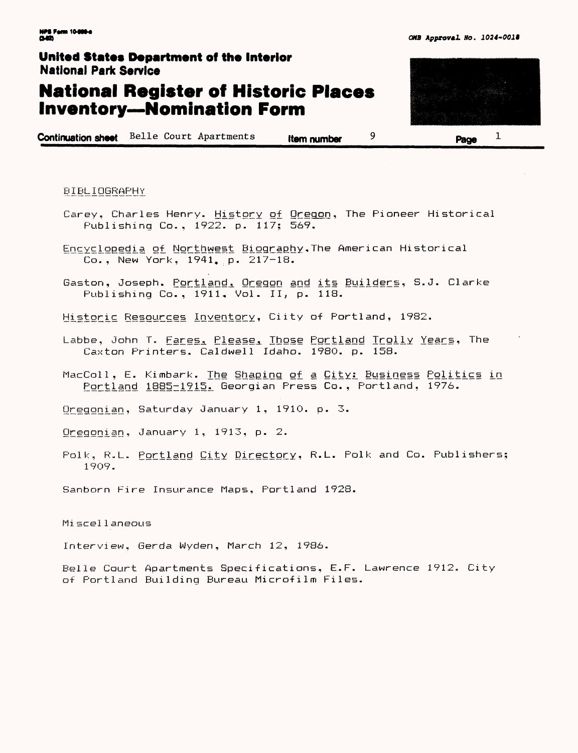# **National Register of Historic Places Inventory—Nomination Form**

**Continuation sheet** Belle Court Apartments **Item number 9 Page**



BIBLIOGRAPHY

- Carey, Charles Henry. History of Oregon, The Pioneer Historical Publishing Co., 1922. p. 117; 569.
- Encyclopedia of Northwest Biography. The American Historical Co., New York, 1941, p. 217-18.
- Gaston, Joseph. <u>Portland, Oregon and its Builder</u>s, S.J. Clarke Publishing Co., 1911, Vol. II, p. 118.

Historic Resources Inventory, Ciity of Portland, 1982.

- Labbe, John T. <u>Fares, Please, Those Portland Trolly Year</u>s, The Caxton Printers. Cal dwell Idaho. 1980. p. 158.
- MacColl, E. Kimbark. The Shaping of a City: Business Politics in Portland 1885-1915. Georgian Press Co., Portland, 1976.

Oregonian, Saturday January 1, 1910. p. 3.

Oregonian, January 1,  $1913$ , p.  $2$ .

Polk, R.L. Portland City Directory, R.L. Polk and Co. Publishers; 1909.

Sanborn Fire Insurance Maps, Portland 1928.

Mi seel 1 aneons

Interview, Gerda Wyden, March 12, 1986.

Belle Court Apartments Specifications, E.F. Lawrence 1912. City of Portland Building Bureau Microfilm Files.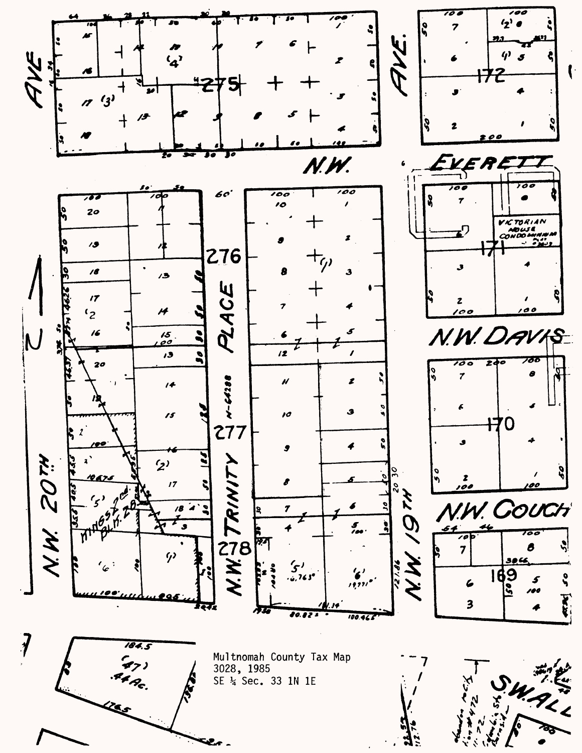